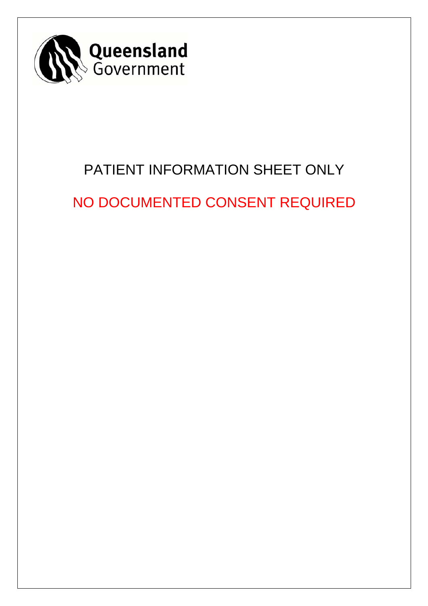

# PATIENT INFORMATION SHEET ONLY

NO DOCUMENTED CONSENT REQUIRED